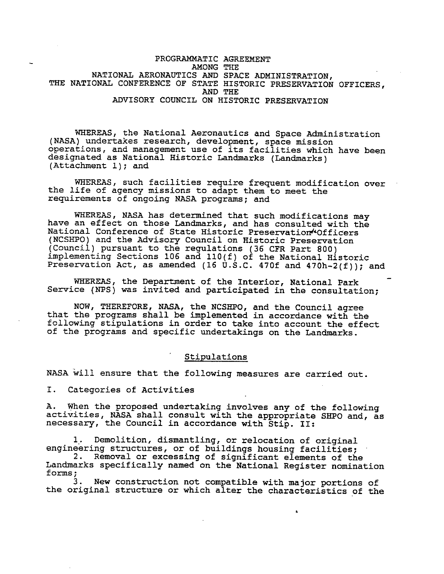PROGRAMMATIC AGREEMENT AMONG THE NATIONAL AERONAUTICS AND SPACE ADMINISTRATION, THE NATIONAL CONFERENCE OF STATE HISTORIC PRESERVATION OFFICERS, AND THE ADVISORY COUNCIL ON HISTORIC PRESERVATION

WHEREAS, the National Aeronautics and Space Administration (NASA) undertakes research, development, space mission operations, and management use of its facilities which have been designated as National Historic Landmarks (Landmarks) (Attachment l); and

WHEREAS, such facilities require frequent modification over the life of agency missions to adapt them to meet the requirements of ongoing NASA programs; and

WHEREAS, NASA has determined that such modifications may have an effect on those Landmarks, and has consulted with the National Conference of State Historic Preservation'•Officers (NCSHPO) and the Advisory Council on Historic Preservation (Council) pursuant to the regulations (36 CFR Part 800) implementing Sections 106 and llO(f) of the National Historic Preservation Act, as amended (16 u.s.c. 470f and 470h-2(f)); and

WHEREAS, the Department of the Interior, National Park Service (NPS) was invited and participated in the consultation;

NOW, THEREFORE, **NASA,** the NCSHPO, and the Council agree that the programs shall be implemented in accordance with the following stipulations in order to take into account the effect of the programs and specific undertakings on the Landmarks.

### Stipulations

NASA will ensure that the following measures are carried out.

I. Categories of Activities

A. When the proposed undertaking involves any of the following activities, NASA shall consult with the appropriate SHPO and, as necessary, the Council in accordance with Stip. II:

l. Demolition, dismantling, or relocation of original engineering structures, or of buildings housing facilities; 2. Removal or excessing of significant elements of the Landmarks specifically named on the National Register nomination

forms; New construction not compatible with major portions of the original structure or which alter the characteristics of the

•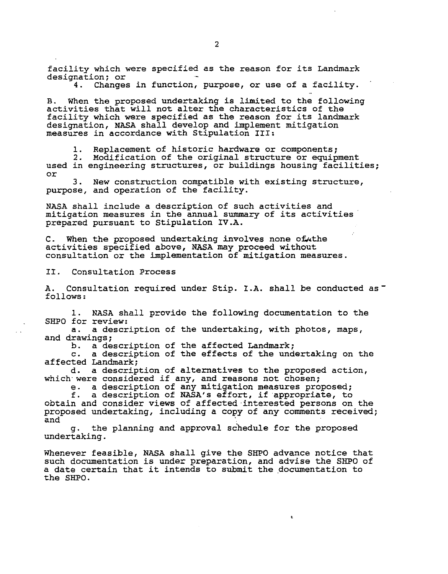facility which were specified as the reason for its Landmark designation; or

Changes in function, purpose, or use of a facility.

B. When the proposed undertaking is limited to the following activities that will not alter the characteristics of the facility which were specified as the reason for its landmark designation, NASA shall develop and implement mitigation measures in accordance with Stipulation III;

1. Replacement of historic hardware or components;<br>2. Modification of the original structure or equipment<br>used in engineering structures, or buildings housing facilities; or

3. New construction compatible with existing structure, purpose, and operation of the facility.

NASA shall include a description of such activities and mitigation measures in the annual summary of its activities prepared pursuant to Stipulation IV.A.

C. When the proposed undertaking involves none of the activities specified above, NASA may proceed without consultation or the implementation of mitigation measures.

II. Consultation Process

A. Consultation required under Stip. **I.A.** shall be conducted as follows;

1. **NASA** shall provide the following documentation to the SHPO for review;

a. a description of the undertaking, with photos, maps, and drawings;<br>b. a de

b. a description of the affected Landmark;<br>c. a description of the effects of the und

a description of the effects of the undertaking on the affected Landmark;

d. a description of alternatives to the proposed action, which were considered if any, and reasons not chosen;

e. a description of any mitigation measures proposed;<br>f. a description of NASA's effort, if appropriate, to

a description of NASA's effort, if appropriate, to obtain and consider views of affected interested persons on the proposed undertaking, including a copy of any comments received;

g. the planning and approval schedule for the proposed undertaking.

Whenever feasible, NASA shall give the SHPO advance notice that such documentation is under preparation, and advise the SHPO of a date certain that it intends to submit the documentation to the SHPO.

 $\mathbf{c}$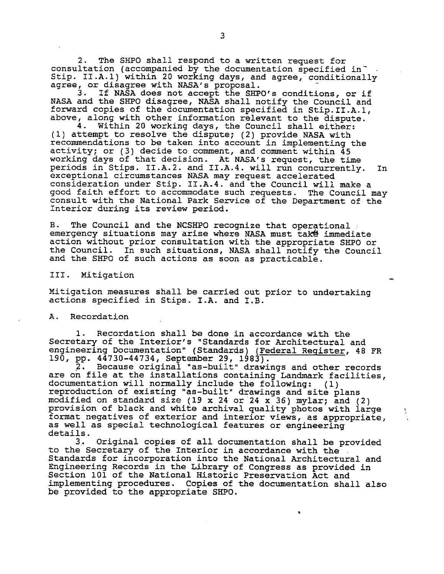2. The SHPO shall respond to a written request for consultation (accompanied by the documentation specified in Stip. II.A.l) within 20 working days, and agree, conditionally agree, or disagree with NASA's proposal.<br>3. If NASA does not accept the SHP

If NASA does not accept the SHPO's conditions, or if NASA and the SHPO disagree, NASA shall notify the Council and forward copies of the documentation specified in Stip.II.A.l, above, along with other information relevant to the dispute.<br>4. Within 20 working days, the Council shall either:

Within 20 working days, the Council shall either: (1) attempt to resolve the dispute; (2) provide NASA with recommendations to be taken into account in implementing the activity; or (3) decide to comment, and comment within 45 working days of that decision. At NASA's request, the time periods in Stips. II.A.2. and II.A.4. will run concurrently. In exceptional circumstances NASA may request accelerated consideration under Stip. II.A.4. and the Council will make a good faith effort to accommodate such requests. The Council may consult with the National Park Service of the Department of the Interior during its review period.

B. The Council and the NCSHPO recognize that operational. emergency situations may arise where NASA must take immediate action without prior consultation with the appropriate SHPO or the Council. In such situations, NASA shall notify the Council and the SHPO of such actions as soon as practicable.

III. Mitigation

Mitigation measures shall be carried out prior to undertaking actions specified in Stips. **I.A.** and I.B.

A. Recordation

l. Recordation shall be done in accordance with the Secretary of the Interior's "Standards for Architectural and engineering Documentation" (Standards) (Federal Register, 48 FR 190, pp. 44730-44734, September 29, 1983).

2. Because original "as-built" drawings and other records are on file at the installations containing Landmark facilities, documentation will normally include the following: (l) reproduction of existing "as-built" drawings and site plans modified on standard size (19 x 24 or 24 x 36) mylar; and (2) provision of black and white archival quality photos with large format negatives of exterior and interior views, as appropriate, as well as special technological features or engineering details.<br>3.

3. Original copies of all documentation shall be provided to the Secretary of the Interior in accordance with the Standards for incorporation into the National Architectural and Engineering Records in the Library of Congress as provided in Section 101 of the National Historic Preservation Act and implementing procedures. Copies of the documentation shall also be provided to the appropriate SHPO.

 $\mathbf{a}$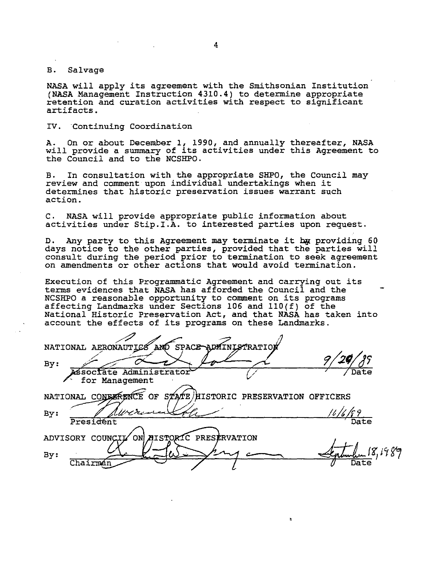#### B. Salvage

NASA will apply its agreement with the Smithsonian Institution **(NASA** Management Instruction 4310.4) to detennine appropriate retention and curation activities with respect to significant artifacts.

#### IV. Continuing Coordination

A. On or about December 1, 1990, and annually thereafter, **NASA**  A. On or about becember 1, 1990, and annually cherealter, MASA<br>will provide a summary of its activities under this Agreement to the Council and to the NCSHPO.

B. In consultation with the appropriate SHPO, the Council may review and comment upon individual undertakings when it detennines that historic preservation *issues* warrant such action.

C. NASA will provide appropriate public information about *activities* under Stip.I.A. to interested parties upon request.

D. Any party to this Agreement may terminate it bx providing 60 days notice to the other parties, provided that the parties will consult during the period prior to tennination to seek agreement on amendments or other actions that would avoid termination.

Execution of this Programmatic Agreement and carrying out its terms evidences that NASA has afforded the Council and the NCSHPO a reasonable opportunity to comment on its programs affecting Landmarks under Sections 106 and ll0(f) of the National Historic Preservation Act, and that **NASA** has taken into account the effects of its programs on these Landmarks.

NATIONAL AERONAUTICS AND SPACE 9, *2'- 7*  Date Associate Administrator for Management  $\mathbf{\widetilde{E}}$  of s $\mathbf{z}$ A $\mathbf{z}$ E $\mathbf{z}$  AIISTORIC PRESERVATION OFFICERS NATIONAL CONEXPENCE *1/Ac.k.:-~~*  By: President ON AISTORIC PRESERVATION ADVISORY COUNCIL By: ' Chairmán